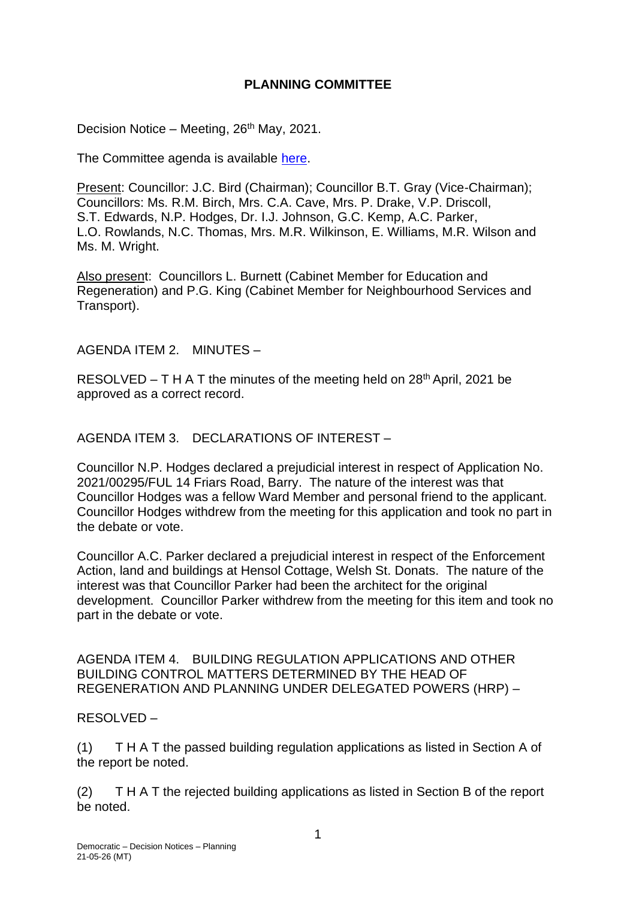## **PLANNING COMMITTEE**

Decision Notice – Meeting,  $26<sup>th</sup>$  May, 2021.

The Committee agenda is available [here.](https://www.valeofglamorgan.gov.uk/en/our_council/Council-Structure/minutes,_agendas_and_reports/agendas/planning/2021/21-05-26.aspx)

Present: Councillor: J.C. Bird (Chairman); Councillor B.T. Gray (Vice-Chairman); Councillors: Ms. R.M. Birch, Mrs. C.A. Cave, Mrs. P. Drake, V.P. Driscoll, S.T. Edwards, N.P. Hodges, Dr. I.J. Johnson, G.C. Kemp, A.C. Parker, L.O. Rowlands, N.C. Thomas, Mrs. M.R. Wilkinson, E. Williams, M.R. Wilson and Ms. M. Wright.

Also present: Councillors L. Burnett (Cabinet Member for Education and Regeneration) and P.G. King (Cabinet Member for Neighbourhood Services and Transport).

### AGENDA ITEM 2. MINUTES –

RESOLVED – T H A T the minutes of the meeting held on  $28<sup>th</sup>$  April, 2021 be approved as a correct record.

AGENDA ITEM 3. DECLARATIONS OF INTEREST –

Councillor N.P. Hodges declared a prejudicial interest in respect of Application No. 2021/00295/FUL 14 Friars Road, Barry. The nature of the interest was that Councillor Hodges was a fellow Ward Member and personal friend to the applicant. Councillor Hodges withdrew from the meeting for this application and took no part in the debate or vote.

Councillor A.C. Parker declared a prejudicial interest in respect of the Enforcement Action, land and buildings at Hensol Cottage, Welsh St. Donats. The nature of the interest was that Councillor Parker had been the architect for the original development. Councillor Parker withdrew from the meeting for this item and took no part in the debate or vote.

AGENDA ITEM 4. BUILDING REGULATION APPLICATIONS AND OTHER BUILDING CONTROL MATTERS DETERMINED BY THE HEAD OF REGENERATION AND PLANNING UNDER DELEGATED POWERS (HRP) –

#### RESOLVED –

(1) T H A T the passed building regulation applications as listed in Section A of the report be noted.

(2) T H A T the rejected building applications as listed in Section B of the report be noted.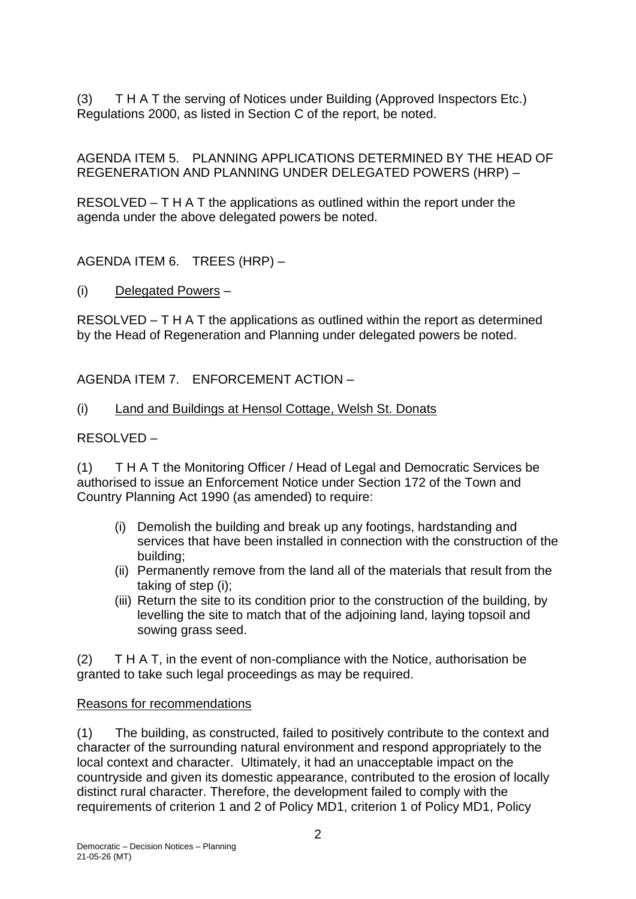(3) T H A T the serving of Notices under Building (Approved Inspectors Etc.) Regulations 2000, as listed in Section C of the report, be noted.

AGENDA ITEM 5. PLANNING APPLICATIONS DETERMINED BY THE HEAD OF REGENERATION AND PLANNING UNDER DELEGATED POWERS (HRP) –

RESOLVED – T H A T the applications as outlined within the report under the agenda under the above delegated powers be noted.

AGENDA ITEM 6. TREES (HRP) –

(i) Delegated Powers –

RESOLVED – T H A T the applications as outlined within the report as determined by the Head of Regeneration and Planning under delegated powers be noted.

AGENDA ITEM 7. ENFORCEMENT ACTION –

# (i) Land and Buildings at Hensol Cottage, Welsh St. Donats

RESOLVED –

(1) T H A T the Monitoring Officer / Head of Legal and Democratic Services be authorised to issue an Enforcement Notice under Section 172 of the Town and Country Planning Act 1990 (as amended) to require:

- (i) Demolish the building and break up any footings, hardstanding and services that have been installed in connection with the construction of the building;
- (ii) Permanently remove from the land all of the materials that result from the taking of step (i);
- (iii) Return the site to its condition prior to the construction of the building, by levelling the site to match that of the adjoining land, laying topsoil and sowing grass seed.

(2) T H A T, in the event of non-compliance with the Notice, authorisation be granted to take such legal proceedings as may be required.

# Reasons for recommendations

(1) The building, as constructed, failed to positively contribute to the context and character of the surrounding natural environment and respond appropriately to the local context and character. Ultimately, it had an unacceptable impact on the countryside and given its domestic appearance, contributed to the erosion of locally distinct rural character. Therefore, the development failed to comply with the requirements of criterion 1 and 2 of Policy MD1, criterion 1 of Policy MD1, Policy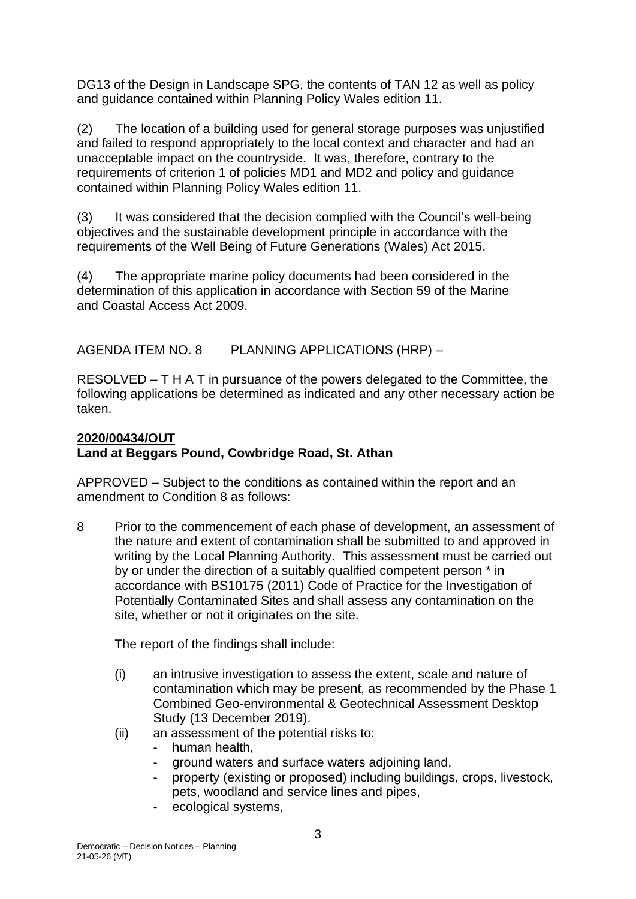DG13 of the Design in Landscape SPG, the contents of TAN 12 as well as policy and guidance contained within Planning Policy Wales edition 11.

(2) The location of a building used for general storage purposes was unjustified and failed to respond appropriately to the local context and character and had an unacceptable impact on the countryside. It was, therefore, contrary to the requirements of criterion 1 of policies MD1 and MD2 and policy and guidance contained within Planning Policy Wales edition 11.

(3) It was considered that the decision complied with the Council's well-being objectives and the sustainable development principle in accordance with the requirements of the Well Being of Future Generations (Wales) Act 2015.

(4) The appropriate marine policy documents had been considered in the determination of this application in accordance with Section 59 of the Marine and Coastal Access Act 2009.

AGENDA ITEM NO. 8 PLANNING APPLICATIONS (HRP) –

RESOLVED – T H A T in pursuance of the powers delegated to the Committee, the following applications be determined as indicated and any other necessary action be taken.

### **2020/00434/OUT Land at Beggars Pound, Cowbridge Road, St. Athan**

APPROVED – Subject to the conditions as contained within the report and an amendment to Condition 8 as follows:

8 Prior to the commencement of each phase of development, an assessment of the nature and extent of contamination shall be submitted to and approved in writing by the Local Planning Authority. This assessment must be carried out by or under the direction of a suitably qualified competent person \* in accordance with BS10175 (2011) Code of Practice for the Investigation of Potentially Contaminated Sites and shall assess any contamination on the site, whether or not it originates on the site.

The report of the findings shall include:

- (i) an intrusive investigation to assess the extent, scale and nature of contamination which may be present, as recommended by the Phase 1 Combined Geo-environmental & Geotechnical Assessment Desktop Study (13 December 2019).
- (ii) an assessment of the potential risks to:
	- human health,
	- ground waters and surface waters adjoining land,
	- property (existing or proposed) including buildings, crops, livestock, pets, woodland and service lines and pipes,
	- ecological systems,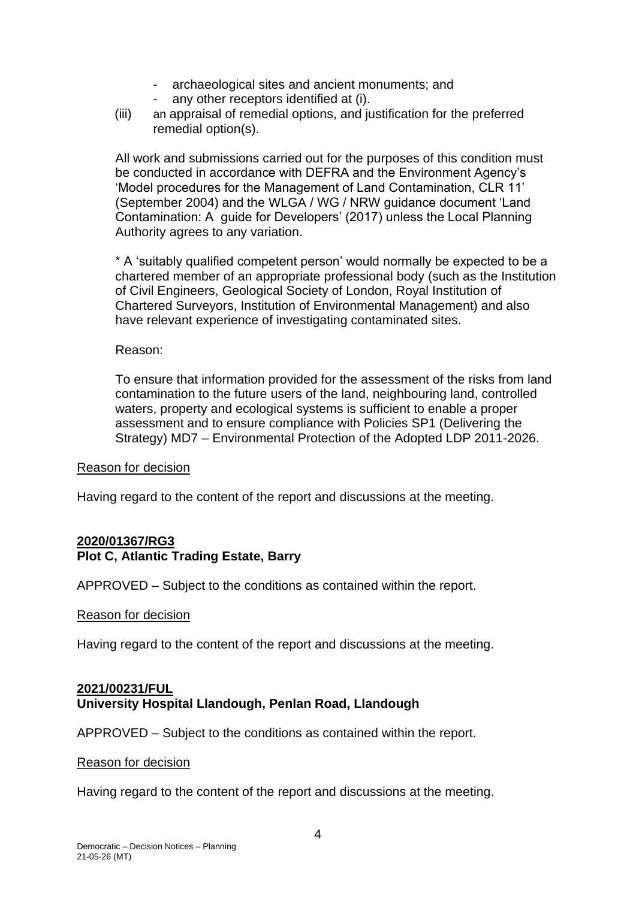- archaeological sites and ancient monuments; and
- any other receptors identified at (i).
- (iii) an appraisal of remedial options, and justification for the preferred remedial option(s).

All work and submissions carried out for the purposes of this condition must be conducted in accordance with DEFRA and the Environment Agency's 'Model procedures for the Management of Land Contamination, CLR 11' (September 2004) and the WLGA / WG / NRW guidance document 'Land Contamination: A guide for Developers' (2017) unless the Local Planning Authority agrees to any variation.

\* A 'suitably qualified competent person' would normally be expected to be a chartered member of an appropriate professional body (such as the Institution of Civil Engineers, Geological Society of London, Royal Institution of Chartered Surveyors, Institution of Environmental Management) and also have relevant experience of investigating contaminated sites.

#### Reason:

To ensure that information provided for the assessment of the risks from land contamination to the future users of the land, neighbouring land, controlled waters, property and ecological systems is sufficient to enable a proper assessment and to ensure compliance with Policies SP1 (Delivering the Strategy) MD7 – Environmental Protection of the Adopted LDP 2011-2026.

#### Reason for decision

Having regard to the content of the report and discussions at the meeting.

### **2020/01367/RG3 Plot C, Atlantic Trading Estate, Barry**

APPROVED – Subject to the conditions as contained within the report.

#### Reason for decision

Having regard to the content of the report and discussions at the meeting.

### **2021/00231/FUL University Hospital Llandough, Penlan Road, Llandough**

APPROVED – Subject to the conditions as contained within the report.

#### Reason for decision

Having regard to the content of the report and discussions at the meeting.